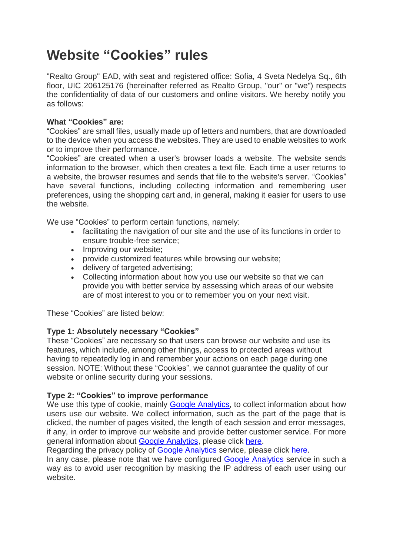# **Website "Cookies" rules**

"Realto Group" EAD, with seat and registered office: Sofia, 4 Sveta Nedelya Sq., 6th floor, UIC 206125176 (hereinafter referred as Realto Group, "our" or "we") respects the confidentiality of data of our customers and online visitors. We hereby notify you as follows:

## **What "Cookies" are:**

"Cookies" are small files, usually made up of letters and numbers, that are downloaded to the device when you access the websites. They are used to enable websites to work or to improve their performance.

"Cookies" are created when a user's browser loads a website. The website sends information to the browser, which then creates a text file. Each time a user returns to a website, the browser resumes and sends that file to the website's server. "Cookies" have several functions, including collecting information and remembering user preferences, using the shopping cart and, in general, making it easier for users to use the website.

We use "Cookies" to perform certain functions, namely:

- facilitating the navigation of our site and the use of its functions in order to ensure trouble-free service;
- Improving our website:
- provide customized features while browsing our website;
- delivery of targeted advertising;
- Collecting information about how you use our website so that we can provide you with better service by assessing which areas of our website are of most interest to you or to remember you on your next visit.

These "Cookies" are listed below:

#### **Type 1: Absolutely necessary "Cookies"**

These "Cookies" are necessary so that users can browse our website and use its features, which include, among other things, access to protected areas without having to repeatedly log in and remember your actions on each page during one session. NOTE: Without these "Cookies", we cannot guarantee the quality of our website or online security during your sessions.

#### **Type 2: "Cookies" to improve performance**

We use this type of cookie, mainly **Google Analytics**, to collect information about how users use our website. We collect information, such as the part of the page that is clicked, the number of pages visited, the length of each session and error messages, if any, in order to improve our website and provide better customer service. For more general information about [Google Analytics,](https://xplora.academy/marketing-rechnik/google-analytics/) please click [here.](https://developers.google.com/analytics/devguides/collection/analyticsjs/cookie-usage)

Regarding the privacy policy of [Google Analytics](https://xplora.academy/marketing-rechnik/google-analytics/) service, please click [here.](https://support.google.com/analytics/answer/6004245)

In any case, please note that we have configured [Google Analytics](https://xplora.academy/marketing-rechnik/google-analytics/) service in such a way as to avoid user recognition by masking the IP address of each user using our website.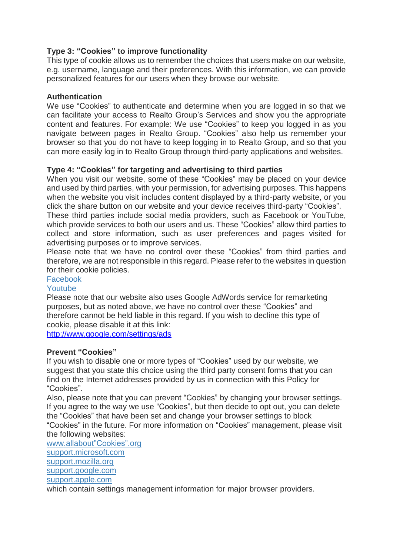# **Type 3: "Cookies" to improve functionality**

This type of cookie allows us to remember the choices that users make on our website, e.g. username, language and their preferences. With this information, we can provide personalized features for our users when they browse our website.

#### **Authentication**

We use "Cookies" to authenticate and determine when you are logged in so that we can facilitate your access to Realto Group's Services and show you the appropriate content and features. For example: We use "Cookies" to keep you logged in as you navigate between pages in Realto Group. "Cookies" also help us remember your browser so that you do not have to keep logging in to Realto Group, and so that you can more easily log in to Realto Group through third-party applications and websites.

#### **Type 4: "Cookies" for targeting and advertising to third parties**

When you visit our website, some of these "Cookies" may be placed on your device and used by third parties, with your permission, for advertising purposes. This happens when the website you visit includes content displayed by a third-party website, or you click the share button on our website and your device receives third-party "Cookies".

These third parties include social media providers, such as Facebook or YouTube, which provide services to both our users and us. These "Cookies" allow third parties to collect and store information, such as user preferences and pages visited for advertising purposes or to improve services.

Please note that we have no control over these "Cookies" from third parties and therefore, we are not responsible in this regard. Please refer to the websites in question for their cookie policies.

# [Facebook](https://www.facebook.com/help/cookies)

## [Youtube](http://www.google.com/policies/privacy)

Please note that our website also uses Google AdWords service for remarketing purposes, but as noted above, we have no control over these "Cookies" and therefore cannot be held liable in this regard. If you wish to decline this type of cookie, please disable it at this link:

<http://www.google.com/settings/ads>

#### **Prevent "Cookies"**

If you wish to disable one or more types of "Cookies" used by our website, we suggest that you state this choice using the third party consent forms that you can find on the Internet addresses provided by us in connection with this Policy for "Cookies".

Also, please note that you can prevent "Cookies" by changing your browser settings. If you agree to the way we use "Cookies", but then decide to opt out, you can delete the "Cookies" that have been set and change your browser settings to block "Cookies" in the future. For more information on "Cookies" management, please visit the following websites:

[www.allabout"Cookies".org](http://www.allaboutcookies.org/) [support.microsoft.com](http://support.microsoft.com/kb/196955/en-us) [support.mozilla.org](http://support.mozilla.org/bg/kb/cookies-information-websites-store-on-your-computer?redirectlocale=en-US&redirectslug=Cookies) [support.google.com](https://support.google.com/chrome/answer/95647?hl=bg) [support.apple.com](https://support.apple.com/en-us/HT201265)

which contain settings management information for major browser providers.